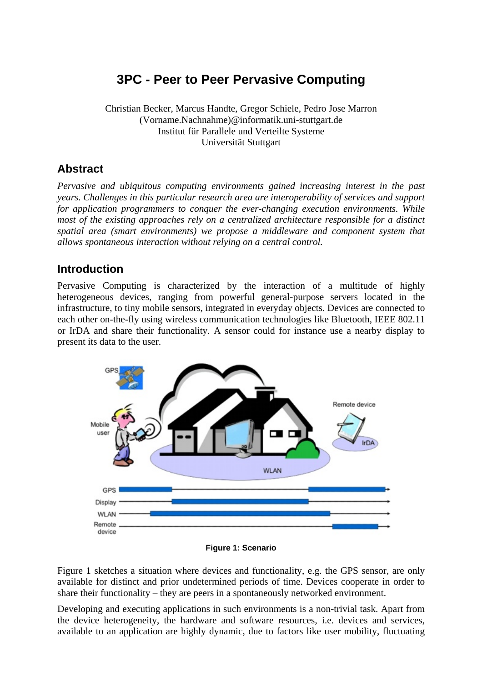# **3PC - Peer to Peer Pervasive Computing**

Christian Becker, Marcus Handte, Gregor Schiele, Pedro Jose Marron (Vorname.Nachnahme)@informatik.uni-stuttgart.de Institut für Parallele und Verteilte Systeme Universität Stuttgart

## **Abstract**

*Pervasive and ubiquitous computing environments gained increasing interest in the past years. Challenges in this particular research area are interoperability of services and support for application programmers to conquer the ever-changing execution environments. While most of the existing approaches rely on a centralized architecture responsible for a distinct spatial area (smart environments) we propose a middleware and component system that allows spontaneous interaction without relying on a central control.* 

## **Introduction**

Pervasive Computing is characterized by the interaction of a multitude of highly heterogeneous devices, ranging from powerful general-purpose servers located in the infrastructure, to tiny mobile sensors, integrated in everyday objects. Devices are connected to each other on-the-fly using wireless communication technologies like Bluetooth, IEEE 802.11 or IrDA and share their functionality. A sensor could for instance use a nearby display to present its data to the user.



#### **Figure 1: Scenario**

Figure 1 sketches a situation where devices and functionality, e.g. the GPS sensor, are only available for distinct and prior undetermined periods of time. Devices cooperate in order to share their functionality – they are peers in a spontaneously networked environment.

Developing and executing applications in such environments is a non-trivial task. Apart from the device heterogeneity, the hardware and software resources, i.e. devices and services, available to an application are highly dynamic, due to factors like user mobility, fluctuating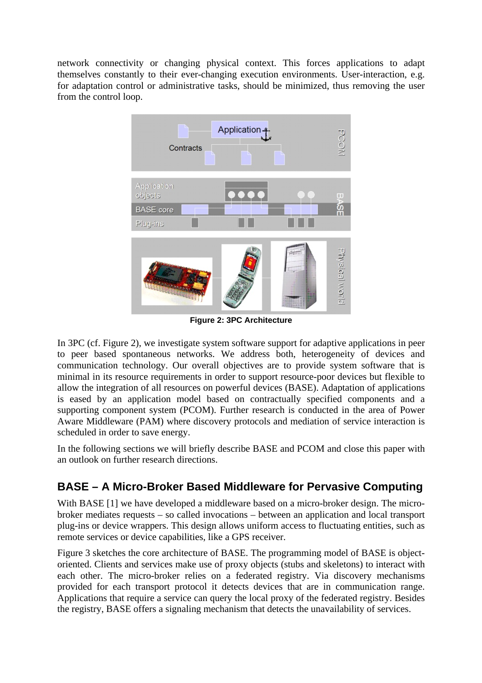network connectivity or changing physical context. This forces applications to adapt themselves constantly to their ever-changing execution environments. User-interaction, e.g. for adaptation control or administrative tasks, should be minimized, thus removing the user from the control loop.



**Figure 2: 3PC Architecture** 

In 3PC (cf. Figure 2), we investigate system software support for adaptive applications in peer to peer based spontaneous networks. We address both, heterogeneity of devices and communication technology. Our overall objectives are to provide system software that is minimal in its resource requirements in order to support resource-poor devices but flexible to allow the integration of all resources on powerful devices (BASE). Adaptation of applications is eased by an application model based on contractually specified components and a supporting component system (PCOM). Further research is conducted in the area of Power Aware Middleware (PAM) where discovery protocols and mediation of service interaction is scheduled in order to save energy.

In the following sections we will briefly describe BASE and PCOM and close this paper with an outlook on further research directions.

## **BASE – A Micro-Broker Based Middleware for Pervasive Computing**

With BASE [1] we have developed a middleware based on a micro-broker design. The microbroker mediates requests – so called invocations – between an application and local transport plug-ins or device wrappers. This design allows uniform access to fluctuating entities, such as remote services or device capabilities, like a GPS receiver.

Figure 3 sketches the core architecture of BASE. The programming model of BASE is objectoriented. Clients and services make use of proxy objects (stubs and skeletons) to interact with each other. The micro-broker relies on a federated registry. Via discovery mechanisms provided for each transport protocol it detects devices that are in communication range. Applications that require a service can query the local proxy of the federated registry. Besides the registry, BASE offers a signaling mechanism that detects the unavailability of services.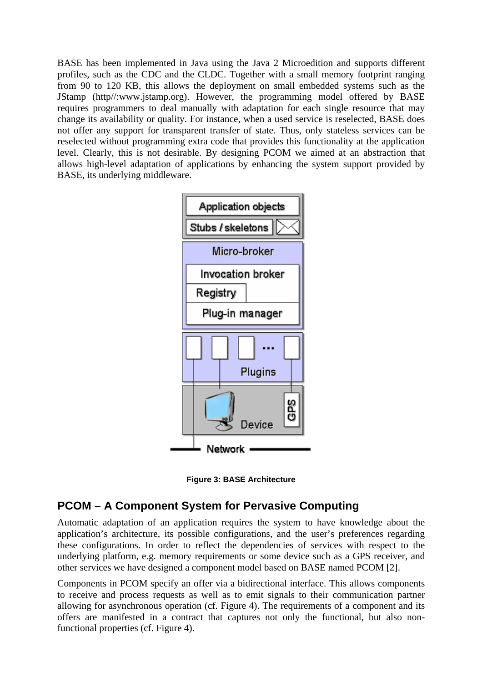BASE has been implemented in Java using the Java 2 Microedition and supports different profiles, such as the CDC and the CLDC. Together with a small memory footprint ranging from 90 to 120 KB, this allows the deployment on small embedded systems such as the JStamp (http//:www.jstamp.org). However, the programming model offered by BASE requires programmers to deal manually with adaptation for each single resource that may change its availability or quality. For instance, when a used service is reselected, BASE does not offer any support for transparent transfer of state. Thus, only stateless services can be reselected without programming extra code that provides this functionality at the application level. Clearly, this is not desirable. By designing PCOM we aimed at an abstraction that allows high-level adaptation of applications by enhancing the system support provided by BASE, its underlying middleware.





### **PCOM – A Component System for Pervasive Computing**

Automatic adaptation of an application requires the system to have knowledge about the application's architecture, its possible configurations, and the user's preferences regarding these configurations. In order to reflect the dependencies of services with respect to the underlying platform, e.g. memory requirements or some device such as a GPS receiver, and other services we have designed a component model based on BASE named PCOM [2].

Components in PCOM specify an offer via a bidirectional interface. This allows components to receive and process requests as well as to emit signals to their communication partner allowing for asynchronous operation (cf. Figure 4). The requirements of a component and its offers are manifested in a contract that captures not only the functional, but also nonfunctional properties (cf. Figure 4).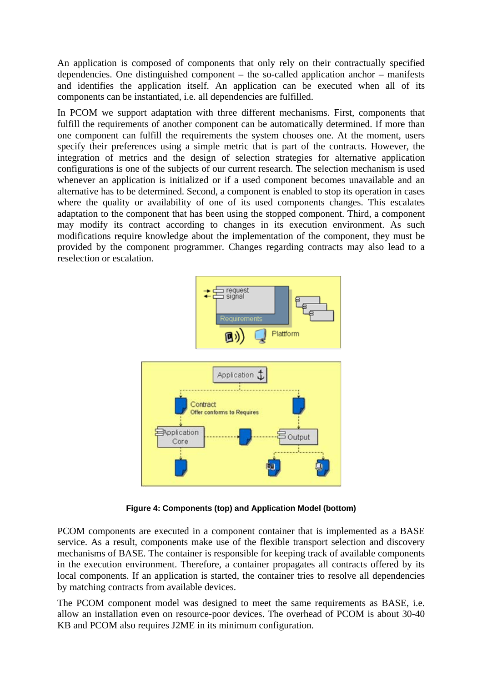An application is composed of components that only rely on their contractually specified dependencies. One distinguished component – the so-called application anchor – manifests and identifies the application itself. An application can be executed when all of its components can be instantiated, i.e. all dependencies are fulfilled.

In PCOM we support adaptation with three different mechanisms. First, components that fulfill the requirements of another component can be automatically determined. If more than one component can fulfill the requirements the system chooses one. At the moment, users specify their preferences using a simple metric that is part of the contracts. However, the integration of metrics and the design of selection strategies for alternative application configurations is one of the subjects of our current research. The selection mechanism is used whenever an application is initialized or if a used component becomes unavailable and an alternative has to be determined. Second, a component is enabled to stop its operation in cases where the quality or availability of one of its used components changes. This escalates adaptation to the component that has been using the stopped component. Third, a component may modify its contract according to changes in its execution environment. As such modifications require knowledge about the implementation of the component, they must be provided by the component programmer. Changes regarding contracts may also lead to a reselection or escalation.



**Figure 4: Components (top) and Application Model (bottom)**

PCOM components are executed in a component container that is implemented as a BASE service. As a result, components make use of the flexible transport selection and discovery mechanisms of BASE. The container is responsible for keeping track of available components in the execution environment. Therefore, a container propagates all contracts offered by its local components. If an application is started, the container tries to resolve all dependencies by matching contracts from available devices.

The PCOM component model was designed to meet the same requirements as BASE, i.e. allow an installation even on resource-poor devices. The overhead of PCOM is about 30-40 KB and PCOM also requires J2ME in its minimum configuration.